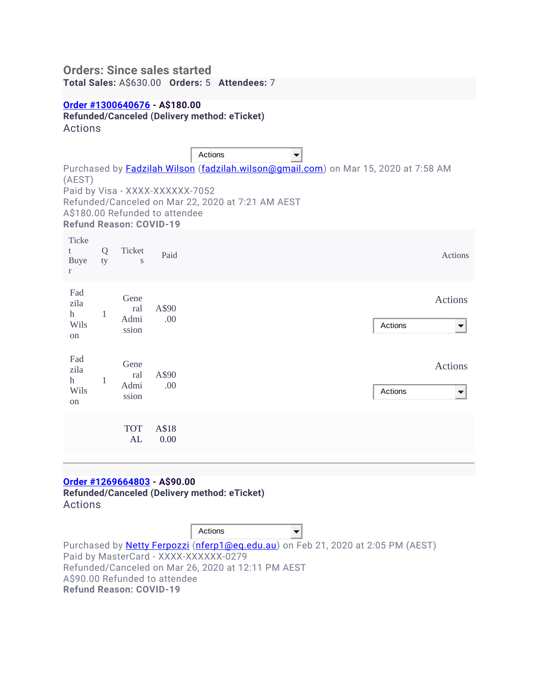# **Orders: Since sales started Total Sales:** A\$630.00 **Orders:** 5 **Attendees:** 7

### **[Order #1300640676](https://www.eventbrite.com/reports?eid=90258239825&rid=h&filterby=all,1300640676) - A\$180.00**

**Refunded/Canceled (Delivery method: eTicket)**

Actions

|                                           |         |                                |                                                                   | Actions                                                                                                                                                |  |         |                                            |
|-------------------------------------------|---------|--------------------------------|-------------------------------------------------------------------|--------------------------------------------------------------------------------------------------------------------------------------------------------|--|---------|--------------------------------------------|
| (AEST)                                    |         | <b>Refund Reason: COVID-19</b> | Paid by Visa - XXXX-XXXXXX-7052<br>A\$180.00 Refunded to attendee | Purchased by <mark>Fadzilah Wilson (fadzilah.wilson@gmail.com</mark> ) on Mar 15, 2020 at 7:58 AM<br>Refunded/Canceled on Mar 22, 2020 at 7:21 AM AEST |  |         |                                            |
| Ticke<br>t<br>Buye<br>$\mathbf{r}$        | Q<br>ty | Ticket<br>S                    | Paid                                                              |                                                                                                                                                        |  |         | Actions                                    |
| Fad<br>zila<br>$\mathbf{h}$<br>Wils<br>on | 1       | Gene<br>ral<br>Admi<br>ssion   | A\$90<br>.00                                                      |                                                                                                                                                        |  | Actions | <b>Actions</b><br>$\overline{\phantom{a}}$ |
| Fad<br>zila<br>$\mathbf{h}$<br>Wils<br>on | 1       | Gene<br>ral<br>Admi<br>ssion   | A\$90<br>.00                                                      |                                                                                                                                                        |  | Actions | Actions<br>▼                               |
|                                           |         | <b>TOT</b><br>AL               | A\$18<br>0.00                                                     |                                                                                                                                                        |  |         |                                            |

## **[Order #1269664803](https://www.eventbrite.com/reports?eid=90258239825&rid=h&filterby=all,1269664803) - A\$90.00**

**Refunded/Canceled (Delivery method: eTicket)** Actions

|                                                    | Actions |                                                                                          |
|----------------------------------------------------|---------|------------------------------------------------------------------------------------------|
|                                                    |         | Purchased by <u>Netty Ferpozzi (nferp1@eq.edu.au</u> ) on Feb 21, 2020 at 2:05 PM (AEST) |
| Paid by MasterCard - XXXX-XXXXXX-0279              |         |                                                                                          |
| Refunded/Canceled on Mar 26, 2020 at 12:11 PM AEST |         |                                                                                          |
| A\$90.00 Refunded to attendee                      |         |                                                                                          |
| <b>Refund Reason: COVID-19</b>                     |         |                                                                                          |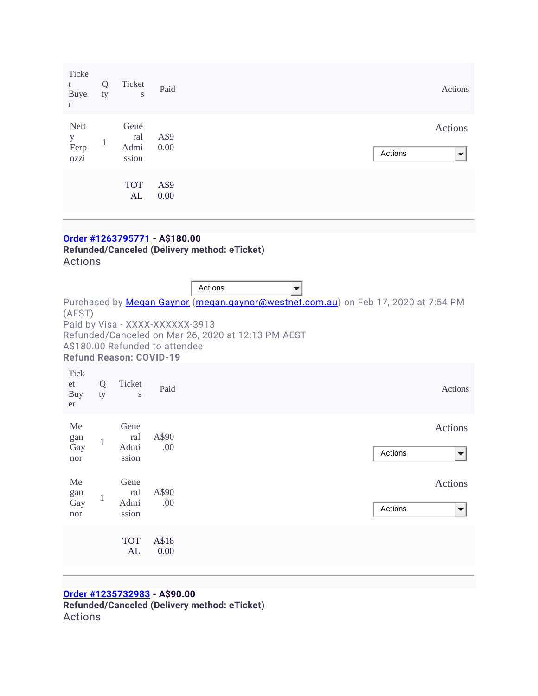| Ticke<br>t<br>Buye<br>$\mathbf{r}$         | Q<br>ty | Ticket<br>$\mathbf S$        | Paid         |         | Actions      |
|--------------------------------------------|---------|------------------------------|--------------|---------|--------------|
| <b>Nett</b><br>$\mathbf y$<br>Ferp<br>ozzi | 1<br>1  | Gene<br>ral<br>Admi<br>ssion | A\$9<br>0.00 | Actions | Actions<br>▼ |
|                                            |         | <b>TOT</b><br>AL             | A\$9<br>0.00 |         |              |

# **[Order #1263795771](https://www.eventbrite.com/reports?eid=90258239825&rid=h&filterby=all,1263795771) - A\$180.00**

**Refunded/Canceled (Delivery method: eTicket)** Actions

|                                |              |                                |                                 | Actions                                            |                                                                                           |         |                     |
|--------------------------------|--------------|--------------------------------|---------------------------------|----------------------------------------------------|-------------------------------------------------------------------------------------------|---------|---------------------|
| (AEST)                         |              |                                | Paid by Visa - XXXX-XXXXXX-3913 | Refunded/Canceled on Mar 26, 2020 at 12:13 PM AEST | Purchased by <i>Megan Gaynor</i> (megan.gaynor@westnet.com.au) on Feb 17, 2020 at 7:54 PM |         |                     |
|                                |              | <b>Refund Reason: COVID-19</b> | A\$180.00 Refunded to attendee  |                                                    |                                                                                           |         |                     |
| <b>Tick</b><br>et<br>Buy<br>er | Q<br>ty      | Ticket<br>S                    | Paid                            |                                                    |                                                                                           |         | <b>Actions</b>      |
| Me<br>gan<br>Gay<br>nor        | $\mathbf{1}$ | Gene<br>ral<br>Admi<br>ssion   | A\$90<br>.00.                   |                                                    |                                                                                           | Actions | <b>Actions</b><br>▼ |
| Me<br>gan<br>Gay<br>nor        | $\mathbf{1}$ | Gene<br>ral<br>Admi<br>ssion   | A\$90<br>.00                    |                                                    |                                                                                           | Actions | <b>Actions</b><br>▼ |
|                                |              | <b>TOT</b><br>AL               | A\$18<br>0.00                   |                                                    |                                                                                           |         |                     |

## **[Order #1235732983](https://www.eventbrite.com/reports?eid=90258239825&rid=h&filterby=all,1235732983) - A\$90.00 Refunded/Canceled (Delivery method: eTicket)** Actions